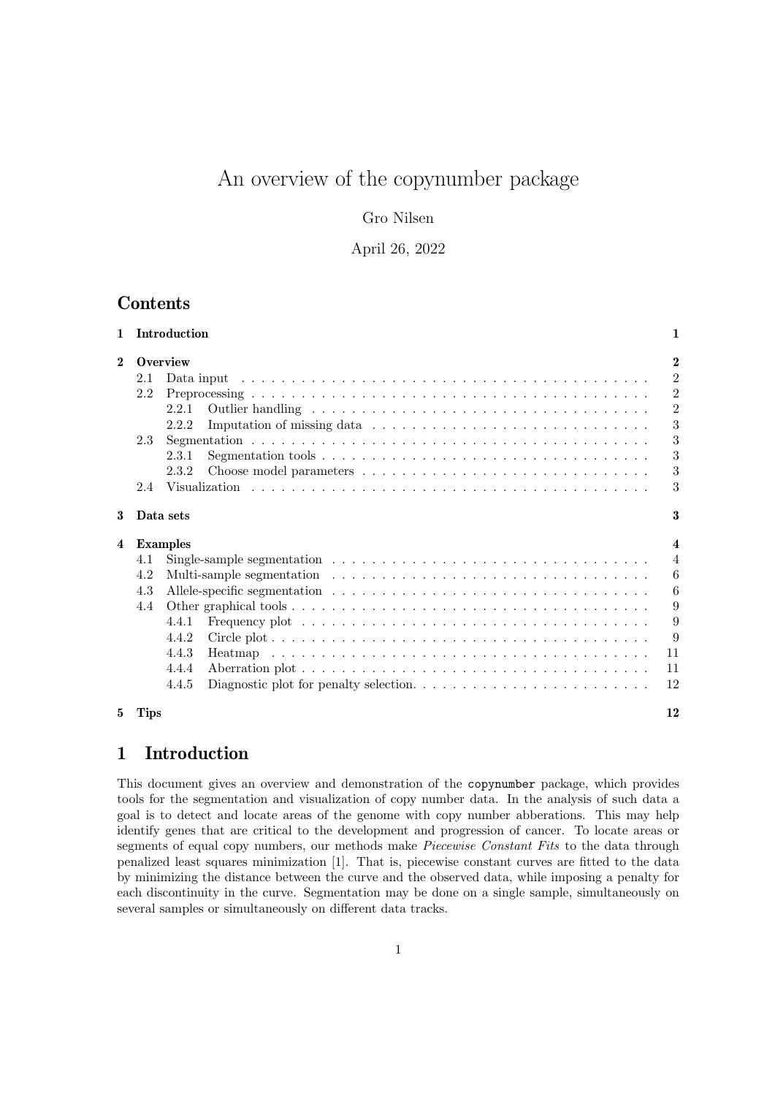# An overview of the copynumber package

# Gro Nilsen

### April 26, 2022

# **Contents**

| $\mathbf{1}$            |             | Introduction                                                                                              | 1                       |  |  |  |  |  |  |  |  |  |  |  |
|-------------------------|-------------|-----------------------------------------------------------------------------------------------------------|-------------------------|--|--|--|--|--|--|--|--|--|--|--|
| $\mathbf{2}$            |             | $\overline{2}$<br>Overview                                                                                |                         |  |  |  |  |  |  |  |  |  |  |  |
|                         | 2.1         |                                                                                                           |                         |  |  |  |  |  |  |  |  |  |  |  |
|                         | 2.2         |                                                                                                           | $\overline{2}$          |  |  |  |  |  |  |  |  |  |  |  |
|                         |             | 2.2.1                                                                                                     | $\overline{2}$          |  |  |  |  |  |  |  |  |  |  |  |
|                         |             | 2.2.2                                                                                                     | 3                       |  |  |  |  |  |  |  |  |  |  |  |
|                         | 2.3         |                                                                                                           | 3                       |  |  |  |  |  |  |  |  |  |  |  |
|                         |             | 2.3.1                                                                                                     | 3                       |  |  |  |  |  |  |  |  |  |  |  |
|                         |             | 2.3.2                                                                                                     | 3                       |  |  |  |  |  |  |  |  |  |  |  |
|                         | 2.4         |                                                                                                           | 3                       |  |  |  |  |  |  |  |  |  |  |  |
| 3                       |             | Data sets                                                                                                 | 3                       |  |  |  |  |  |  |  |  |  |  |  |
| $\overline{\mathbf{4}}$ |             | <b>Examples</b>                                                                                           | $\overline{\mathbf{4}}$ |  |  |  |  |  |  |  |  |  |  |  |
|                         | 4.1         | Single-sample segmentation $\ldots \ldots \ldots \ldots \ldots \ldots \ldots \ldots \ldots \ldots \ldots$ | $\overline{4}$          |  |  |  |  |  |  |  |  |  |  |  |
|                         | 4.2         |                                                                                                           | 6                       |  |  |  |  |  |  |  |  |  |  |  |
|                         | 4.3         |                                                                                                           | 6                       |  |  |  |  |  |  |  |  |  |  |  |
|                         | 4.4         |                                                                                                           | 9                       |  |  |  |  |  |  |  |  |  |  |  |
|                         |             | 4.4.1                                                                                                     | 9                       |  |  |  |  |  |  |  |  |  |  |  |
|                         |             | 4.4.2                                                                                                     | 9                       |  |  |  |  |  |  |  |  |  |  |  |
|                         |             | 4.4.3                                                                                                     | 11                      |  |  |  |  |  |  |  |  |  |  |  |
|                         |             | 4.4.4                                                                                                     | 11                      |  |  |  |  |  |  |  |  |  |  |  |
|                         |             | 4.4.5                                                                                                     | 12                      |  |  |  |  |  |  |  |  |  |  |  |
| 5                       | <b>Tips</b> |                                                                                                           | 12                      |  |  |  |  |  |  |  |  |  |  |  |

# 1 Introduction

This document gives an overview and demonstration of the copynumber package, which provides tools for the segmentation and visualization of copy number data. In the analysis of such data a goal is to detect and locate areas of the genome with copy number abberations. This may help identify genes that are critical to the development and progression of cancer. To locate areas or segments of equal copy numbers, our methods make Piecewise Constant Fits to the data through penalized least squares minimization [1]. That is, piecewise constant curves are fitted to the data by minimizing the distance between the curve and the observed data, while imposing a penalty for each discontinuity in the curve. Segmentation may be done on a single sample, simultaneously on several samples or simultaneously on different data tracks.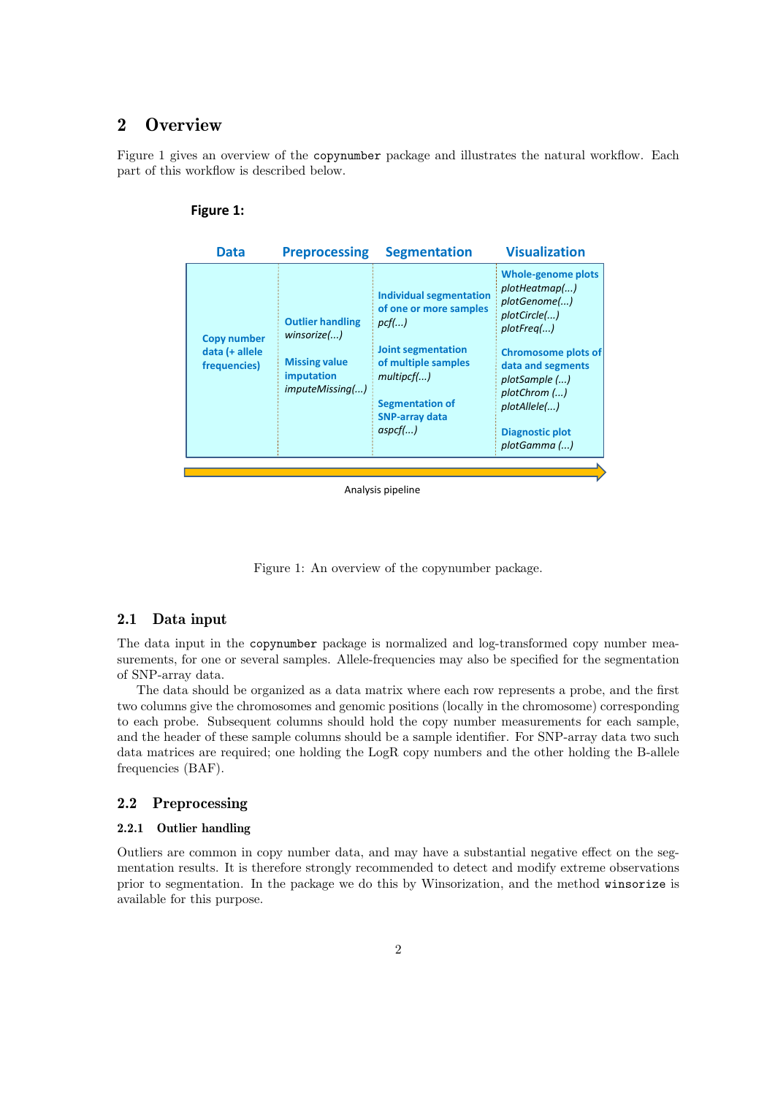# 2 Overview

Figure 1 gives an overview of the copynumber package and illustrates the natural workflow. Each part of this workflow is described below.

| Figure 1 |  |
|----------|--|
|----------|--|

| <b>Data</b>                                          | <b>Preprocessing</b>                                                                            | <b>Segmentation</b>                                                                                                                                                                                   | <b>Visualization</b>                                                                                                                                                                                                                   |
|------------------------------------------------------|-------------------------------------------------------------------------------------------------|-------------------------------------------------------------------------------------------------------------------------------------------------------------------------------------------------------|----------------------------------------------------------------------------------------------------------------------------------------------------------------------------------------------------------------------------------------|
| <b>Copy number</b><br>data (+ allele<br>frequencies) | <b>Outlier handling</b><br>winsorize()<br><b>Missing value</b><br>imputation<br>imputeMissing() | <b>Individual segmentation</b><br>of one or more samples<br>pcf()<br><b>Joint segmentation</b><br>of multiple samples<br>multipcf()<br><b>Segmentation of</b><br><b>SNP-array data</b><br>$aspcf$ $)$ | <b>Whole-genome plots</b><br>plotHeatmap()<br>plotGenome()<br>plotCircle()<br>plotFreq()<br><b>Chromosome plots of</b><br>data and segments<br>plotSample ()<br>plotChrom ()<br>plotAllele()<br><b>Diagnostic plot</b><br>plotGamma () |
|                                                      |                                                                                                 |                                                                                                                                                                                                       |                                                                                                                                                                                                                                        |
|                                                      |                                                                                                 |                                                                                                                                                                                                       |                                                                                                                                                                                                                                        |

Analysis pipeline

Figure 1: An overview of the copynumber package.

### 2.1 Data input

The data input in the copynumber package is normalized and log-transformed copy number measurements, for one or several samples. Allele-frequencies may also be specified for the segmentation of SNP-array data.

The data should be organized as a data matrix where each row represents a probe, and the first two columns give the chromosomes and genomic positions (locally in the chromosome) corresponding to each probe. Subsequent columns should hold the copy number measurements for each sample, and the header of these sample columns should be a sample identifier. For SNP-array data two such data matrices are required; one holding the LogR copy numbers and the other holding the B-allele frequencies (BAF).

### 2.2 Preprocessing

#### 2.2.1 Outlier handling

Outliers are common in copy number data, and may have a substantial negative effect on the segmentation results. It is therefore strongly recommended to detect and modify extreme observations prior to segmentation. In the package we do this by Winsorization, and the method winsorize is available for this purpose.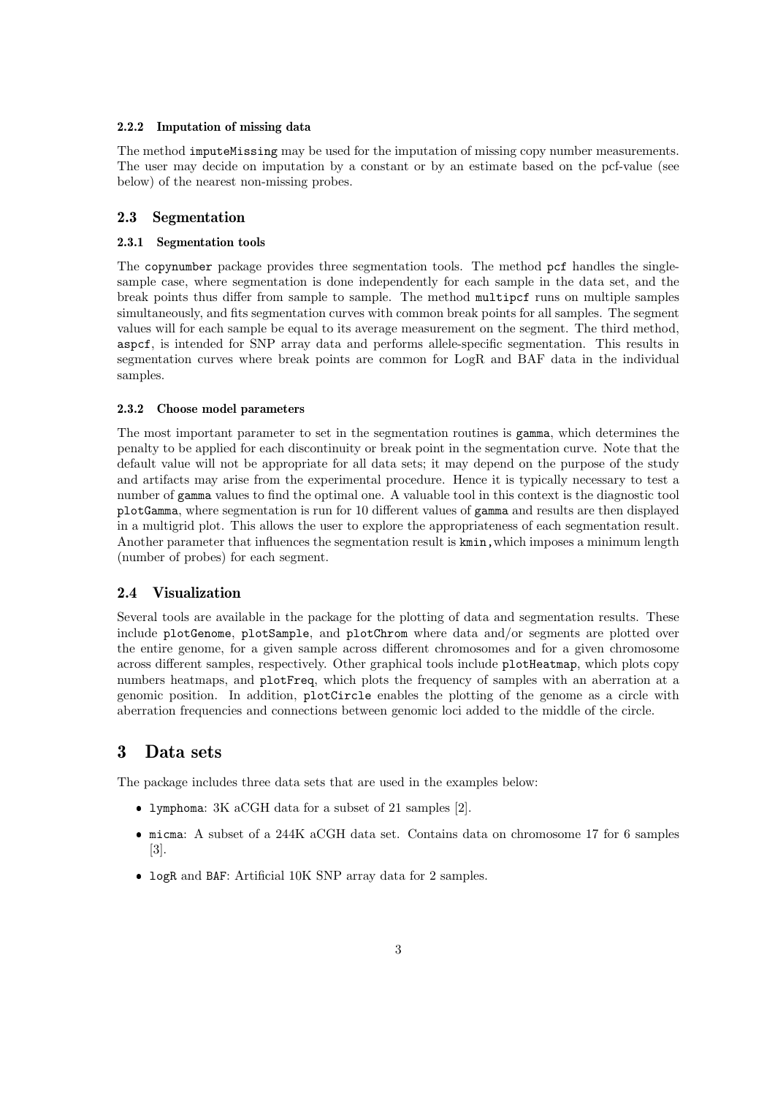#### 2.2.2 Imputation of missing data

The method imputeMissing may be used for the imputation of missing copy number measurements. The user may decide on imputation by a constant or by an estimate based on the pcf-value (see below) of the nearest non-missing probes.

#### 2.3 Segmentation

#### 2.3.1 Segmentation tools

The copynumber package provides three segmentation tools. The method pcf handles the singlesample case, where segmentation is done independently for each sample in the data set, and the break points thus differ from sample to sample. The method multipcf runs on multiple samples simultaneously, and fits segmentation curves with common break points for all samples. The segment values will for each sample be equal to its average measurement on the segment. The third method, aspcf, is intended for SNP array data and performs allele-specific segmentation. This results in segmentation curves where break points are common for LogR and BAF data in the individual samples.

#### 2.3.2 Choose model parameters

The most important parameter to set in the segmentation routines is gamma, which determines the penalty to be applied for each discontinuity or break point in the segmentation curve. Note that the default value will not be appropriate for all data sets; it may depend on the purpose of the study and artifacts may arise from the experimental procedure. Hence it is typically necessary to test a number of gamma values to find the optimal one. A valuable tool in this context is the diagnostic tool plotGamma, where segmentation is run for 10 different values of gamma and results are then displayed in a multigrid plot. This allows the user to explore the appropriateness of each segmentation result. Another parameter that influences the segmentation result is  $kmin$ , which imposes a minimum length (number of probes) for each segment.

### 2.4 Visualization

Several tools are available in the package for the plotting of data and segmentation results. These include plotGenome, plotSample, and plotChrom where data and/or segments are plotted over the entire genome, for a given sample across different chromosomes and for a given chromosome across different samples, respectively. Other graphical tools include plotHeatmap, which plots copy numbers heatmaps, and plotFreq, which plots the frequency of samples with an aberration at a genomic position. In addition, plotCircle enables the plotting of the genome as a circle with aberration frequencies and connections between genomic loci added to the middle of the circle.

# 3 Data sets

The package includes three data sets that are used in the examples below:

- lymphoma: 3K aCGH data for a subset of 21 samples [2].
- micma: A subset of a 244K aCGH data set. Contains data on chromosome 17 for 6 samples [3].
- logR and BAF: Artificial 10K SNP array data for 2 samples.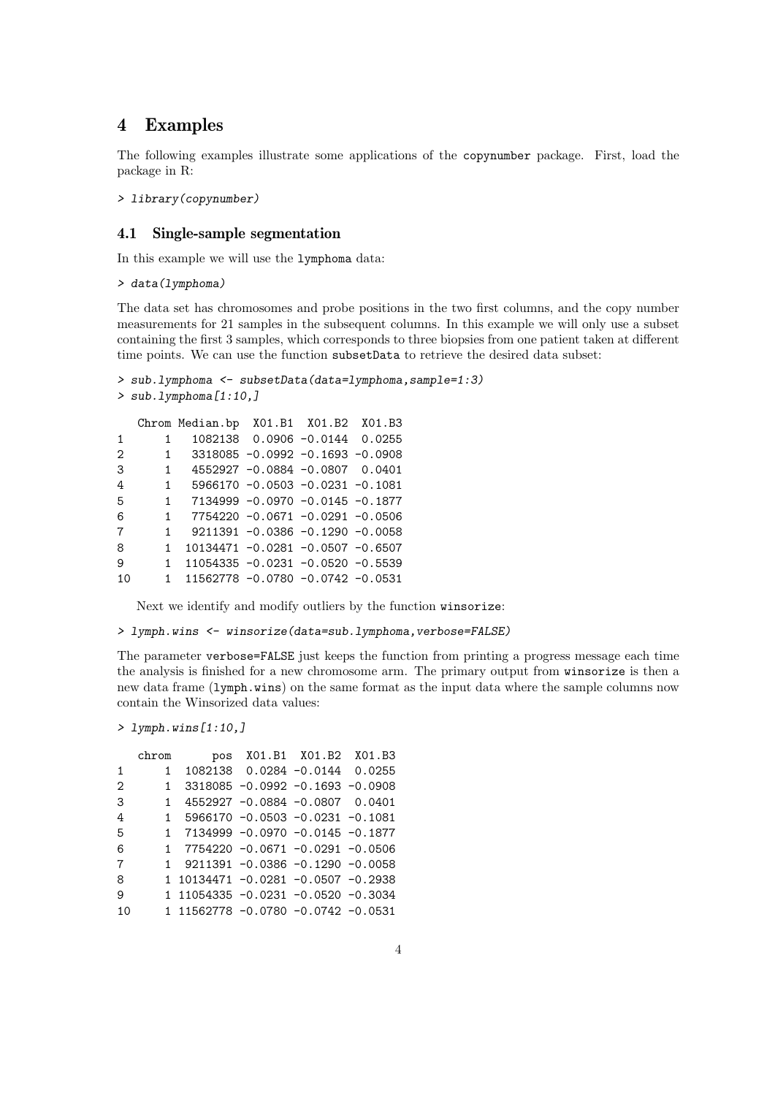# 4 Examples

The following examples illustrate some applications of the copynumber package. First, load the package in R:

> library(copynumber)

### 4.1 Single-sample segmentation

In this example we will use the lymphoma data:

> data(lymphoma)

The data set has chromosomes and probe positions in the two first columns, and the copy number measurements for 21 samples in the subsequent columns. In this example we will only use a subset containing the first 3 samples, which corresponds to three biopsies from one patient taken at different time points. We can use the function subsetData to retrieve the desired data subset:

```
> sub.lymphoma <- subsetData(data=lymphoma,sample=1:3)
> sub.lymphoma[1:10,]
  Chrom Median.bp X01.B1 X01.B2 X01.B3
1 1 1082138 0.0906 -0.0144 0.0255
2 1 3318085 -0.0992 -0.1693 -0.0908
3 1 4552927 -0.0884 -0.0807 0.0401
4 1 5966170 -0.0503 -0.0231 -0.1081
5 1 7134999 -0.0970 -0.0145 -0.1877
6 1 7754220 -0.0671 -0.0291 -0.0506
7 1 9211391 -0.0386 -0.1290 -0.0058
8 1 10134471 -0.0281 -0.0507 -0.6507
9 1 11054335 -0.0231 -0.0520 -0.5539
10 1 11562778 -0.0780 -0.0742 -0.0531
```
Next we identify and modify outliers by the function winsorize:

> lymph.wins <- winsorize(data=sub.lymphoma, verbose=FALSE)

The parameter verbose=FALSE just keeps the function from printing a progress message each time the analysis is finished for a new chromosome arm. The primary output from winsorize is then a new data frame (lymph.wins) on the same format as the input data where the sample columns now contain the Winsorized data values:

> lymph.wins[1:10,]

|                   | chrom | pos                                |                                      | X01.B1 X01.B2 X01.B3 |  |
|-------------------|-------|------------------------------------|--------------------------------------|----------------------|--|
| 1                 | 1.    |                                    | 1082138  0.0284  -0.0144  0.0255     |                      |  |
| $\mathcal{D}_{1}$ | 1.    |                                    | $3318085 - 0.0992 - 0.1693 - 0.0908$ |                      |  |
| 3                 | 1.    |                                    | 4552927 -0.0884 -0.0807 0.0401       |                      |  |
| 4                 | 1.    |                                    | $5966170 - 0.0503 - 0.0231 - 0.1081$ |                      |  |
| 5                 |       | 1 7134999 -0.0970 -0.0145 -0.1877  |                                      |                      |  |
| 6                 |       | 1 7754220 -0.0671 -0.0291 -0.0506  |                                      |                      |  |
| 7                 |       |                                    | $9211391 - 0.0386 - 0.1290 - 0.0058$ |                      |  |
| 8                 |       | 1 10134471 -0.0281 -0.0507 -0.2938 |                                      |                      |  |
| 9                 |       | 1 11054335 -0.0231 -0.0520 -0.3034 |                                      |                      |  |
| 10                |       | 1 11562778 -0.0780 -0.0742 -0.0531 |                                      |                      |  |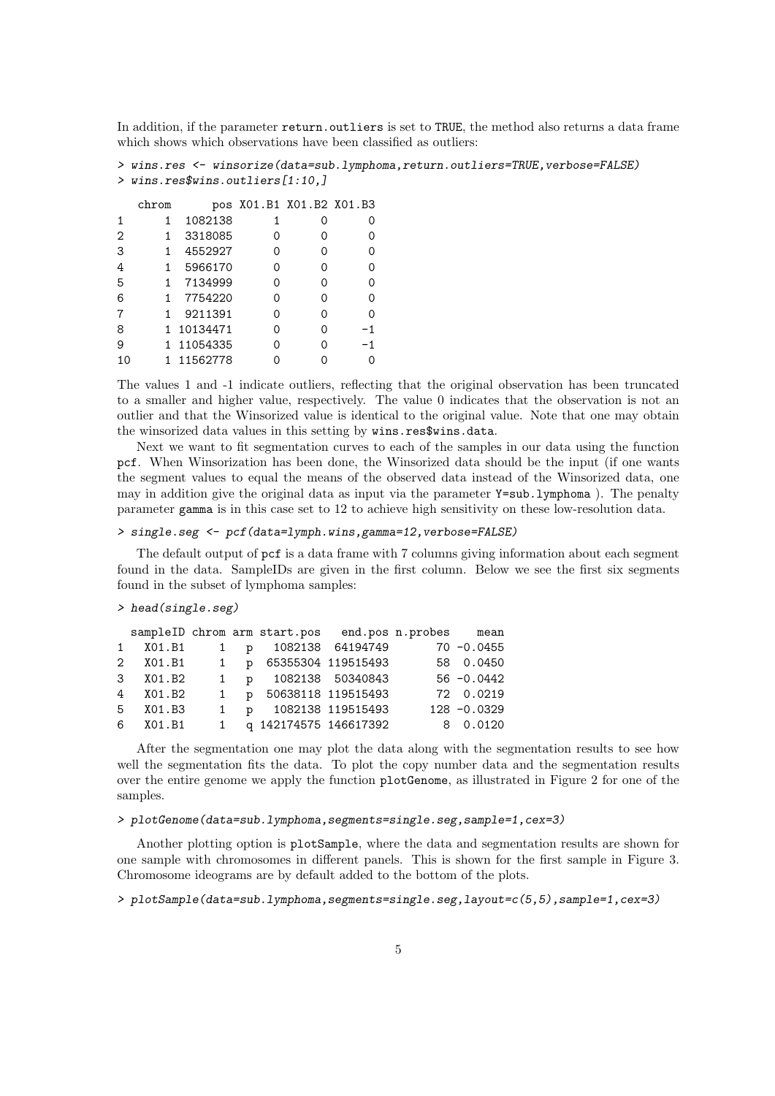In addition, if the parameter return, outliers is set to TRUE, the method also returns a data frame which shows which observations have been classified as outliers:

```
> wins.res <- winsorize(data=sub.lymphoma,return.outliers=TRUE,verbose=FALSE)
> wins.res$wins.outliers[1:10,]
```

|   | chrom |            | pos X01.B1 X01.B2 X01.B3 |    |
|---|-------|------------|--------------------------|----|
|   | 1     | 1082138    |                          |    |
| 2 |       | 3318085    |                          |    |
| 3 | 1     | 4552927    |                          |    |
| 4 |       | 5966170    |                          |    |
| 5 |       | 7134999    |                          |    |
| 6 |       | 7754220    |                          |    |
| 7 |       | 9211391    |                          |    |
| 8 |       | 1 10134471 |                          | -1 |
| 9 |       | 1 11054335 |                          | -1 |
|   |       | 1 11562778 |                          |    |

The values 1 and -1 indicate outliers, reflecting that the original observation has been truncated to a smaller and higher value, respectively. The value 0 indicates that the observation is not an outlier and that the Winsorized value is identical to the original value. Note that one may obtain the winsorized data values in this setting by wins.res\$wins.data.

Next we want to fit segmentation curves to each of the samples in our data using the function pcf. When Winsorization has been done, the Winsorized data should be the input (if one wants the segment values to equal the means of the observed data instead of the Winsorized data, one may in addition give the original data as input via the parameter Y=sub.lymphoma ). The penalty parameter gamma is in this case set to 12 to achieve high sensitivity on these low-resolution data.

#### > single.seg <- pcf(data=lymph.wins,gamma=12,verbose=FALSE)

The default output of pcf is a data frame with 7 columns giving information about each segment found in the data. SampleIDs are given in the first column. Below we see the first six segments found in the subset of lymphoma samples:

#### > head(single.seg)

|          |  | sampleID chrom arm start.pos end.pos n.probes mean |  |               |
|----------|--|----------------------------------------------------|--|---------------|
|          |  | 1 X01.B1 1 p 1082138 64194749                      |  | $70 - 0.0455$ |
|          |  | 2 X01.B1 1 p 65355304 119515493                    |  | 58 0.0450     |
| 3 X01.B2 |  | 1 p 1082138 50340843                               |  | $56 - 0.0442$ |
| 4 X01.B2 |  | 1 p 50638118 119515493                             |  | 72 0.0219     |
| 5 X01.B3 |  | 1 p 1082138 119515493                              |  | 128 -0.0329   |
| 6 X01.B1 |  | 1 q 142174575 146617392                            |  | 8 0.0120      |

After the segmentation one may plot the data along with the segmentation results to see how well the segmentation fits the data. To plot the copy number data and the segmentation results over the entire genome we apply the function plotGenome, as illustrated in Figure 2 for one of the samples.

#### > plotGenome(data=sub.lymphoma,segments=single.seg,sample=1,cex=3)

Another plotting option is plotSample, where the data and segmentation results are shown for one sample with chromosomes in different panels. This is shown for the first sample in Figure 3. Chromosome ideograms are by default added to the bottom of the plots.

> plotSample(data=sub.lymphoma,segments=single.seg,layout=c(5,5),sample=1,cex=3)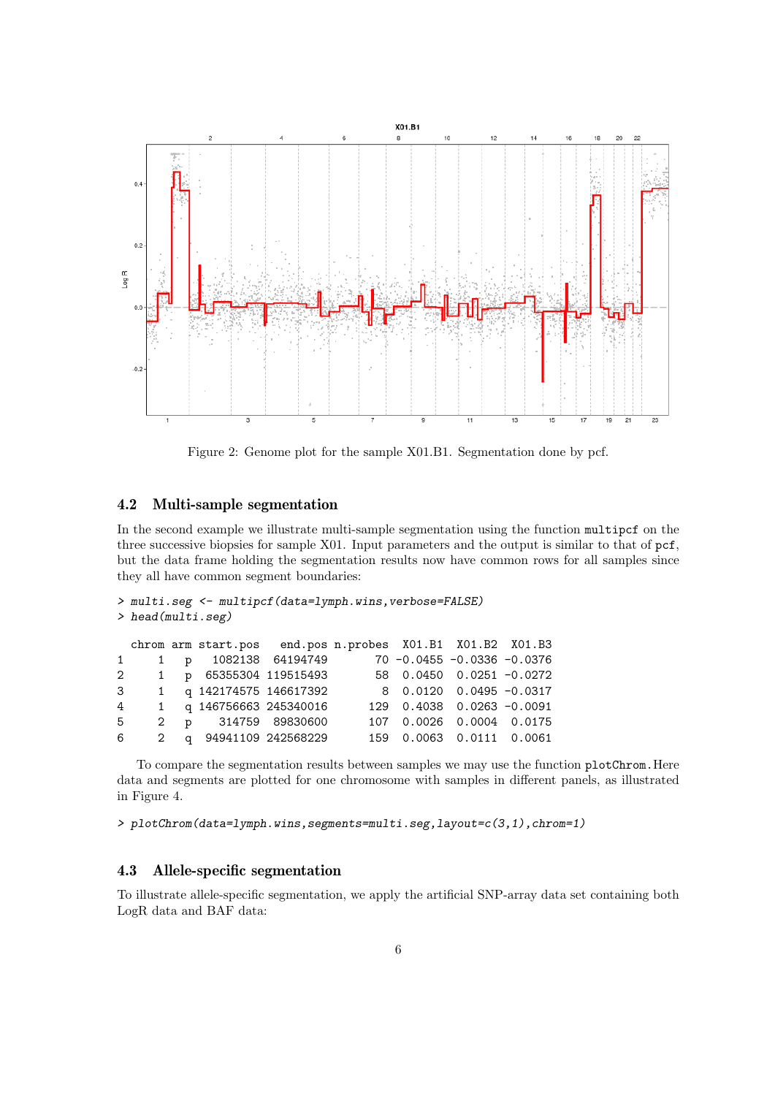

Figure 2: Genome plot for the sample X01.B1. Segmentation done by pcf.

### 4.2 Multi-sample segmentation

In the second example we illustrate multi-sample segmentation using the function multipcf on the three successive biopsies for sample X01. Input parameters and the output is similar to that of pcf, but the data frame holding the segmentation results now have common rows for all samples since they all have common segment boundaries:

```
> multi.seg <- multipcf(data=lymph.wins,verbose=FALSE)
> head(multi.seg)
 chrom arm start.pos end.pos n.probes X01.B1 X01.B2 X01.B3
1 1 p 1082138 64194749 70 -0.0455 -0.0336 -0.0376
2 1 p 65355304 119515493 58 0.0450 0.0251 -0.0272
3 1 q 142174575 146617392 8 0.0120 0.0495 -0.0317
```

|  |  | 4 1 q 146756663 245340016 | 129  0.4038  0.0263  -0.0091 |  |  |
|--|--|---------------------------|------------------------------|--|--|
|  |  | 5 2 p 314759 89830600     | 107  0.0026  0.0004  0.0175  |  |  |
|  |  | 6 2 q 94941109 242568229  | 159 0.0063 0.0111 0.0061     |  |  |
|  |  |                           |                              |  |  |

To compare the segmentation results between samples we may use the function plotChrom.Here data and segments are plotted for one chromosome with samples in different panels, as illustrated in Figure 4.

```
> plotChrom(data=lymph.wins,segments=multi.seg,layout=c(3,1),chrom=1)
```
### 4.3 Allele-specific segmentation

To illustrate allele-specific segmentation, we apply the artificial SNP-array data set containing both LogR data and BAF data: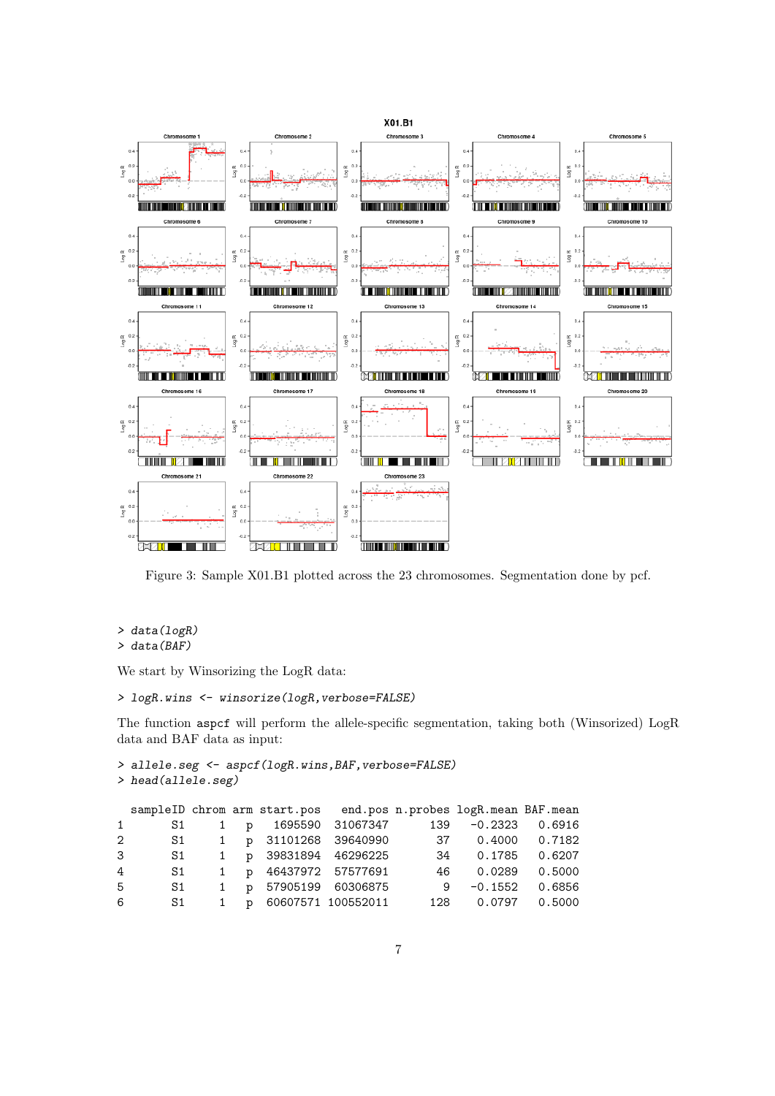

Figure 3: Sample X01.B1 plotted across the 23 chromosomes. Segmentation done by pcf.

```
> data(logR)
```

```
> data(BAF)
```
We start by Winsorizing the LogR data:

```
> logR.wins <- winsorize(logR,verbose=FALSE)
```
The function aspcf will perform the allele-specific segmentation, taking both (Winsorized) LogR data and BAF data as input:

```
> allele.seg <- aspcf(logR.wins, BAF, verbose=FALSE)
> head(allele.seg)
```

|              |      |  |                           |  | sampleID chrom arm start.pos end.pos n.probes logR.mean BAF.mean |  |
|--------------|------|--|---------------------------|--|------------------------------------------------------------------|--|
| 1            | S1   |  |                           |  | 1 p 1695590 31067347 139 -0.2323 0.6916                          |  |
| $\mathbf{2}$ |      |  |                           |  | S1 1 p 31101268 39640990 37 0.4000 0.7182                        |  |
| 3            | S1   |  | 1 p 39831894 46296225     |  | 34 0.1785 0.6207                                                 |  |
| 4            |      |  | S1 1 p 46437972 57577691  |  | 46 0.0289 0.5000                                                 |  |
| 5            | S1 - |  | 1 p 57905199 60306875     |  | $9 -0.1552 0.6856$                                               |  |
| 6            |      |  | S1 1 p 60607571 100552011 |  | 128  0.0797  0.5000                                              |  |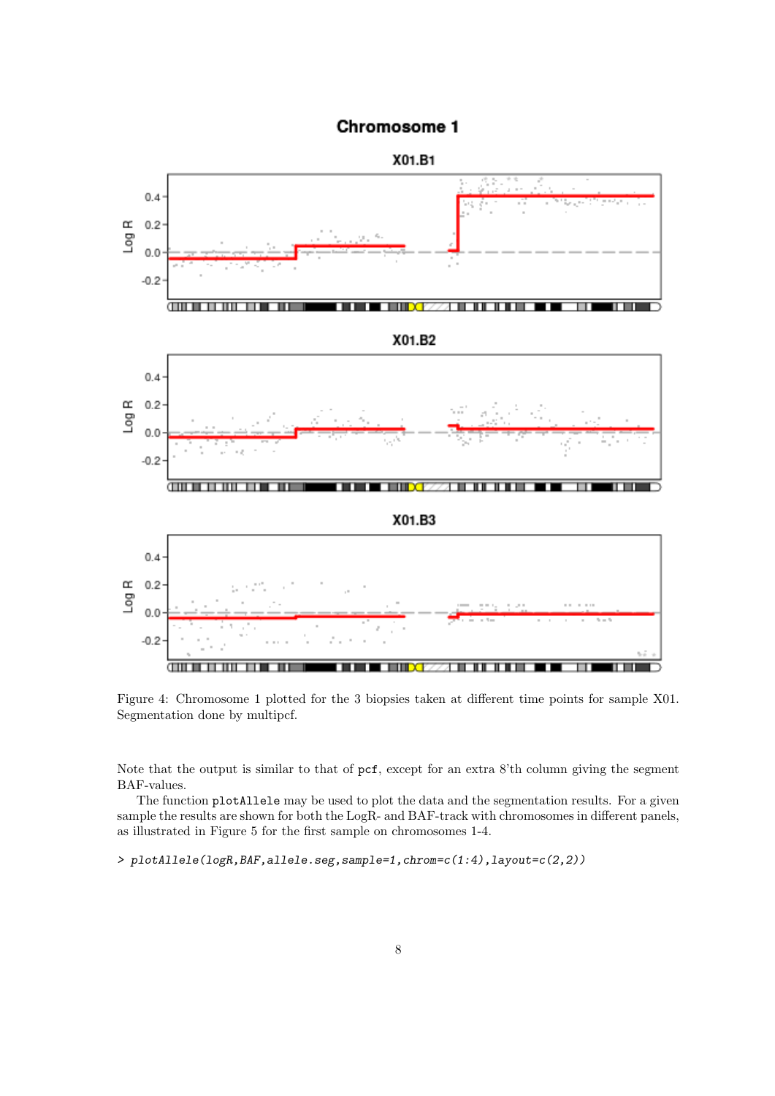

# Chromosome 1

Figure 4: Chromosome 1 plotted for the 3 biopsies taken at different time points for sample X01. Segmentation done by multipcf.

Note that the output is similar to that of pcf, except for an extra 8'th column giving the segment BAF-values.

The function plotAllele may be used to plot the data and the segmentation results. For a given sample the results are shown for both the LogR- and BAF-track with chromosomes in different panels, as illustrated in Figure 5 for the first sample on chromosomes 1-4.

```
> plotAllele(logR,BAF,allele.seg,sample=1,chrom=c(1:4),layout=c(2,2))
```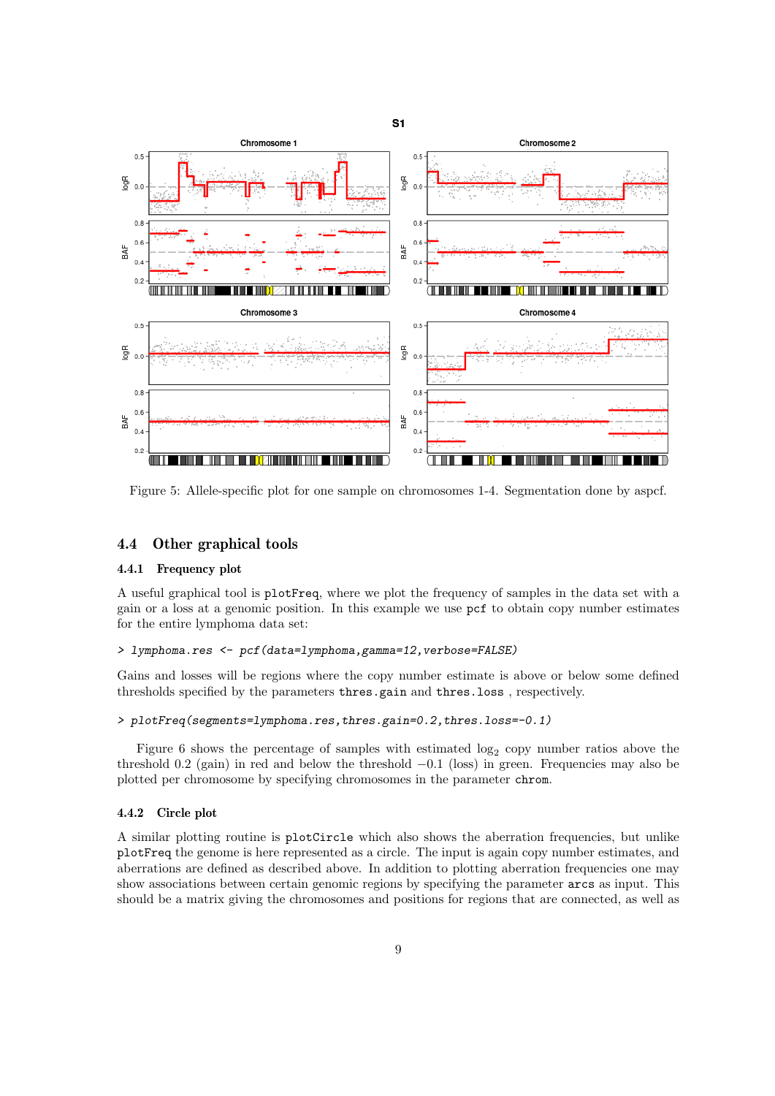

Figure 5: Allele-specific plot for one sample on chromosomes 1-4. Segmentation done by aspcf.

#### 4.4 Other graphical tools

#### 4.4.1 Frequency plot

A useful graphical tool is plotFreq, where we plot the frequency of samples in the data set with a gain or a loss at a genomic position. In this example we use pcf to obtain copy number estimates for the entire lymphoma data set:

#### > lymphoma.res <- pcf(data=lymphoma,gamma=12,verbose=FALSE)

Gains and losses will be regions where the copy number estimate is above or below some defined thresholds specified by the parameters thres.gain and thres.loss, respectively.

#### > plotFreq(segments=lymphoma.res,thres.gain=0.2,thres.loss=-0.1)

Figure 6 shows the percentage of samples with estimated  $log_2$  copy number ratios above the threshold 0.2 (gain) in red and below the threshold −0.1 (loss) in green. Frequencies may also be plotted per chromosome by specifying chromosomes in the parameter chrom.

#### 4.4.2 Circle plot

A similar plotting routine is plotCircle which also shows the aberration frequencies, but unlike plotFreq the genome is here represented as a circle. The input is again copy number estimates, and aberrations are defined as described above. In addition to plotting aberration frequencies one may show associations between certain genomic regions by specifying the parameter arcs as input. This should be a matrix giving the chromosomes and positions for regions that are connected, as well as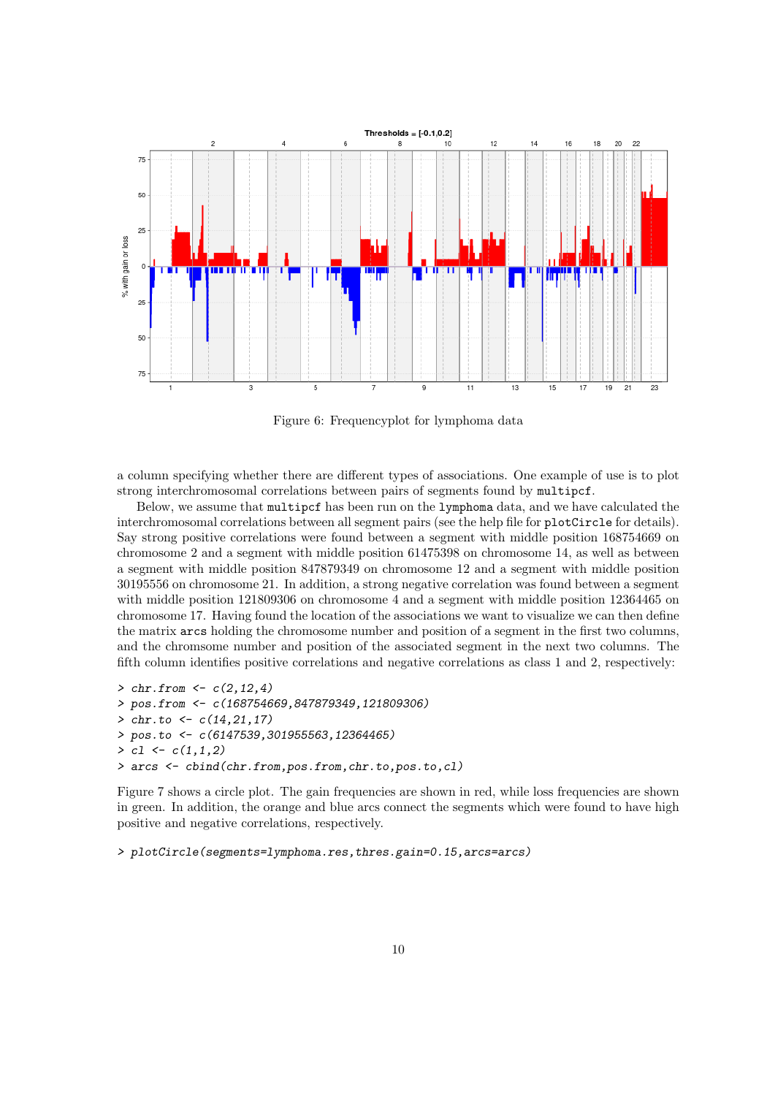

Figure 6: Frequencyplot for lymphoma data

a column specifying whether there are different types of associations. One example of use is to plot strong interchromosomal correlations between pairs of segments found by multipcf.

Below, we assume that multipcf has been run on the lymphoma data, and we have calculated the interchromosomal correlations between all segment pairs (see the help file for plotCircle for details). Say strong positive correlations were found between a segment with middle position 168754669 on chromosome 2 and a segment with middle position 61475398 on chromosome 14, as well as between a segment with middle position 847879349 on chromosome 12 and a segment with middle position 30195556 on chromosome 21. In addition, a strong negative correlation was found between a segment with middle position 121809306 on chromosome 4 and a segment with middle position 12364465 on chromosome 17. Having found the location of the associations we want to visualize we can then define the matrix arcs holding the chromosome number and position of a segment in the first two columns, and the chromsome number and position of the associated segment in the next two columns. The fifth column identifies positive correlations and negative correlations as class 1 and 2, respectively:

```
> chr. from < -c(2, 12, 4)> pos.from <- c(168754669,847879349,121809306)
> chr.to \leq c(14, 21, 17)> pos.to <- c(6147539,301955563,12364465)
> c1 \leftarrow c(1,1,2)> arcs <- cbind(chr.from,pos.from,chr.to,pos.to,cl)
```
Figure 7 shows a circle plot. The gain frequencies are shown in red, while loss frequencies are shown in green. In addition, the orange and blue arcs connect the segments which were found to have high positive and negative correlations, respectively.

> plotCircle(segments=lymphoma.res,thres.gain=0.15,arcs=arcs)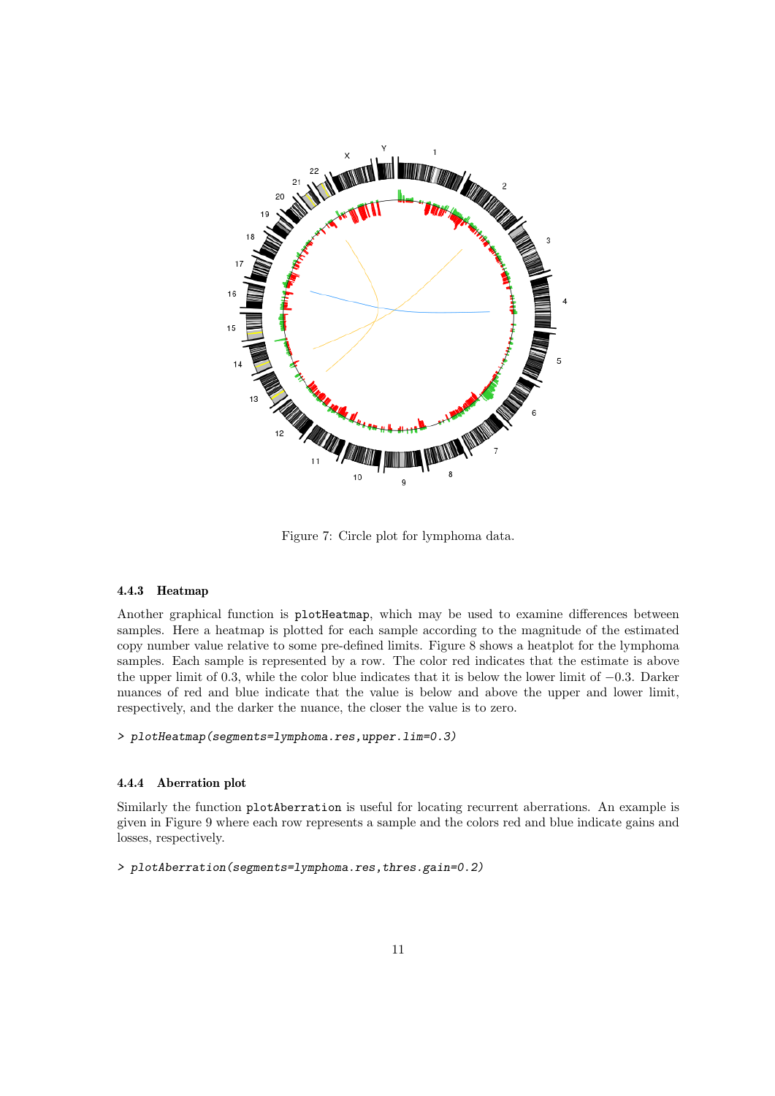

Figure 7: Circle plot for lymphoma data.

#### 4.4.3 Heatmap

Another graphical function is plotHeatmap, which may be used to examine differences between samples. Here a heatmap is plotted for each sample according to the magnitude of the estimated copy number value relative to some pre-defined limits. Figure 8 shows a heatplot for the lymphoma samples. Each sample is represented by a row. The color red indicates that the estimate is above the upper limit of 0.3, while the color blue indicates that it is below the lower limit of −0.3. Darker nuances of red and blue indicate that the value is below and above the upper and lower limit, respectively, and the darker the nuance, the closer the value is to zero.

> plotHeatmap(segments=lymphoma.res,upper.lim=0.3)

#### 4.4.4 Aberration plot

Similarly the function plotAberration is useful for locating recurrent aberrations. An example is given in Figure 9 where each row represents a sample and the colors red and blue indicate gains and losses, respectively.

> plotAberration(segments=lymphoma.res,thres.gain=0.2)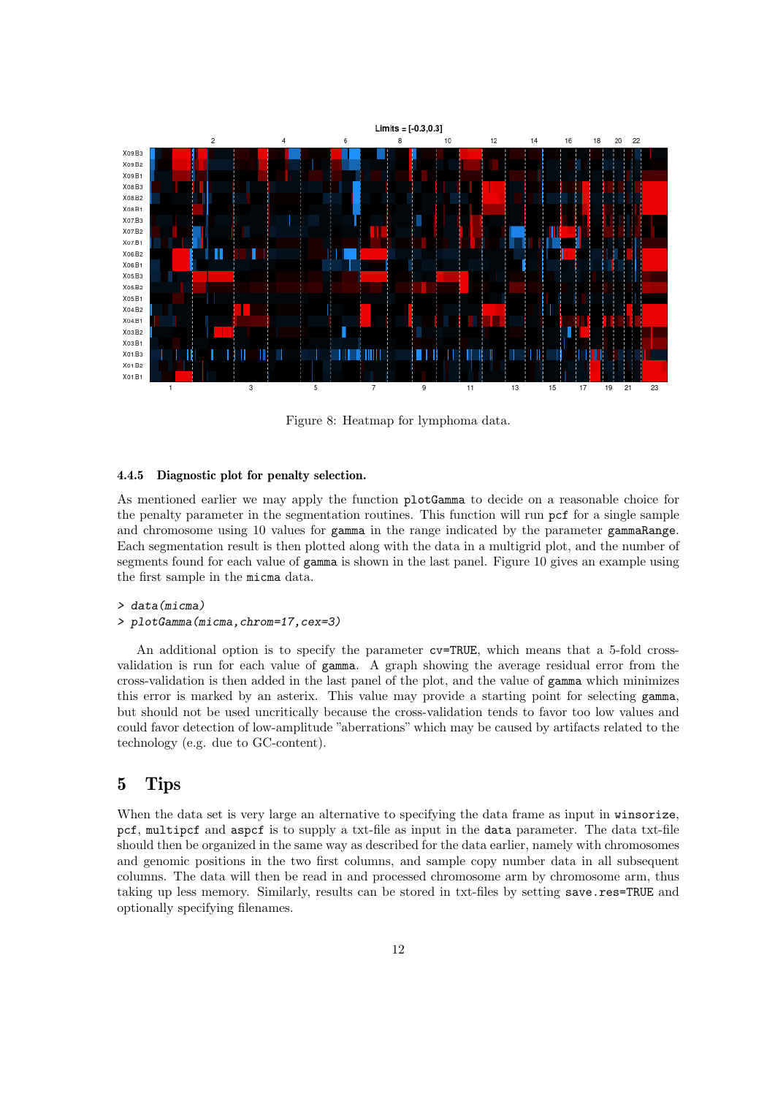

Figure 8: Heatmap for lymphoma data.

#### 4.4.5 Diagnostic plot for penalty selection.

As mentioned earlier we may apply the function plotGamma to decide on a reasonable choice for the penalty parameter in the segmentation routines. This function will run pcf for a single sample and chromosome using 10 values for gamma in the range indicated by the parameter gammaRange. Each segmentation result is then plotted along with the data in a multigrid plot, and the number of segments found for each value of gamma is shown in the last panel. Figure 10 gives an example using the first sample in the micma data.

#### > data(micma)

> plotGamma(micma,chrom=17,cex=3)

An additional option is to specify the parameter cv=TRUE, which means that a 5-fold crossvalidation is run for each value of gamma. A graph showing the average residual error from the cross-validation is then added in the last panel of the plot, and the value of gamma which minimizes this error is marked by an asterix. This value may provide a starting point for selecting gamma, but should not be used uncritically because the cross-validation tends to favor too low values and could favor detection of low-amplitude "aberrations" which may be caused by artifacts related to the technology (e.g. due to GC-content).

# 5 Tips

When the data set is very large an alternative to specifying the data frame as input in winsorize, pcf, multipcf and aspcf is to supply a txt-file as input in the data parameter. The data txt-file should then be organized in the same way as described for the data earlier, namely with chromosomes and genomic positions in the two first columns, and sample copy number data in all subsequent columns. The data will then be read in and processed chromosome arm by chromosome arm, thus taking up less memory. Similarly, results can be stored in txt-files by setting save.res=TRUE and optionally specifying filenames.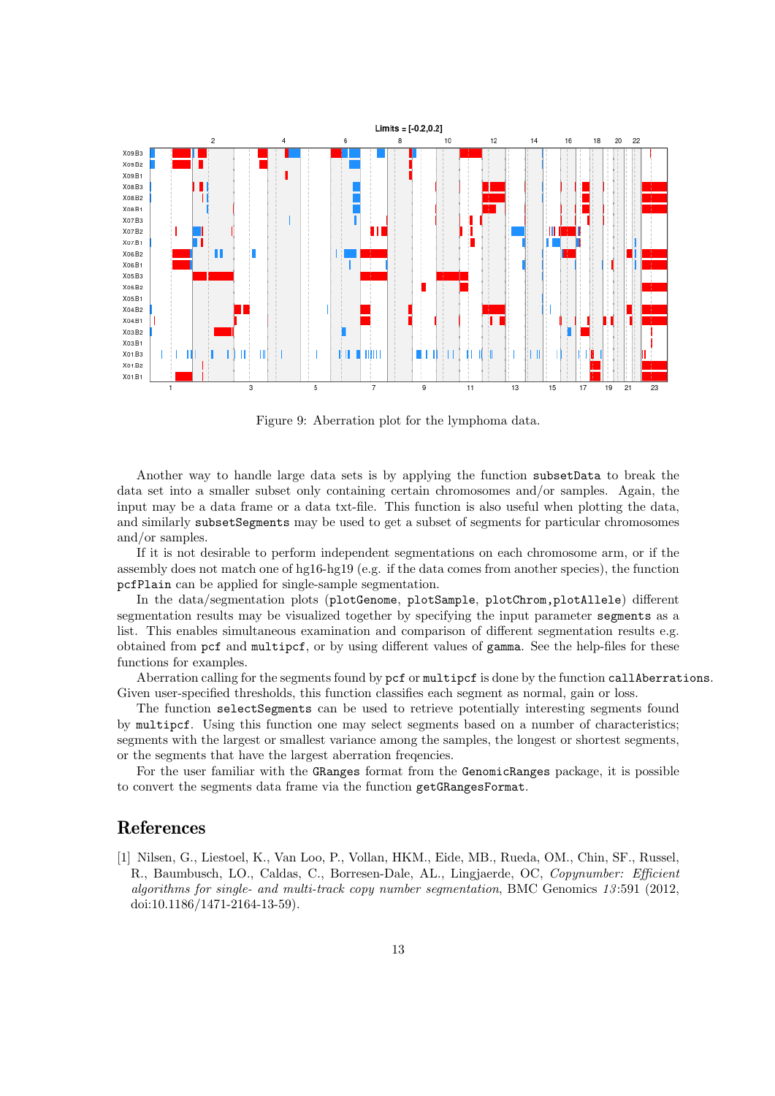

Figure 9: Aberration plot for the lymphoma data.

Another way to handle large data sets is by applying the function subsetData to break the data set into a smaller subset only containing certain chromosomes and/or samples. Again, the input may be a data frame or a data txt-file. This function is also useful when plotting the data, and similarly subsetSegments may be used to get a subset of segments for particular chromosomes and/or samples.

If it is not desirable to perform independent segmentations on each chromosome arm, or if the assembly does not match one of hg16-hg19 (e.g. if the data comes from another species), the function pcfPlain can be applied for single-sample segmentation.

In the data/segmentation plots (plotGenome, plotSample, plotChrom,plotAllele) different segmentation results may be visualized together by specifying the input parameter segments as a list. This enables simultaneous examination and comparison of different segmentation results e.g. obtained from pcf and multipcf, or by using different values of gamma. See the help-files for these functions for examples.

Aberration calling for the segments found by pcf or multipcf is done by the function callAberrations. Given user-specified thresholds, this function classifies each segment as normal, gain or loss.

The function selectSegments can be used to retrieve potentially interesting segments found by multipcf. Using this function one may select segments based on a number of characteristics; segments with the largest or smallest variance among the samples, the longest or shortest segments, or the segments that have the largest aberration freqencies.

For the user familiar with the GRanges format from the GenomicRanges package, it is possible to convert the segments data frame via the function getGRangesFormat.

### References

[1] Nilsen, G., Liestoel, K., Van Loo, P., Vollan, HKM., Eide, MB., Rueda, OM., Chin, SF., Russel, R., Baumbusch, LO., Caldas, C., Borresen-Dale, AL., Lingjaerde, OC, Copynumber: Efficient algorithms for single- and multi-track copy number segmentation, BMC Genomics 13 :591 (2012, doi:10.1186/1471-2164-13-59).